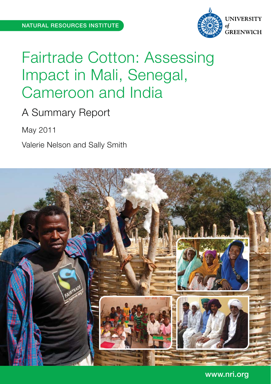

# Fairtrade Cotton: Assessing Impact in Mali, Senegal, Cameroon and India

## A Summary Report

May 2011

Valerie Nelson and Sally Smith



www.nri.org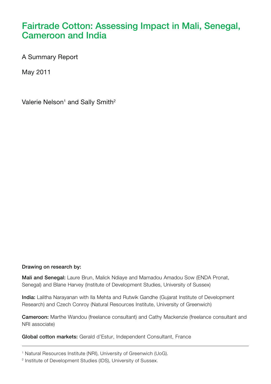## **Fairtrade Cotton: Assessing Impact in Mali, Senegal, Cameroon and India**

A Summary Report

May 2011

Valerie Nelson<sup>1</sup> and Sally Smith<sup>2</sup>

#### **Drawing on research by:**

**Mali and Senegal:** Laure Brun, Malick Ndiaye and Mamadou Amadou Sow (ENDA Pronat, Senegal) and Blane Harvey (Institute of Development Studies, University of Sussex)

**India:** Lalitha Narayanan with Ila Mehta and Rutwik Gandhe (Gujarat Institute of Development Research) and Czech Conroy (Natural Resources Institute, University of Greenwich)

**Cameroon:** Marthe Wandou (freelance consultant) and Cathy Mackenzie (freelance consultant and NRI associate)

**Global cotton markets:** Gerald d'Estur, Independent Consultant, France

<sup>&</sup>lt;sup>1</sup> Natural Resources Institute (NRI), University of Greenwich (UoG).

<sup>2</sup> Institute of Development Studies (IDS), University of Sussex.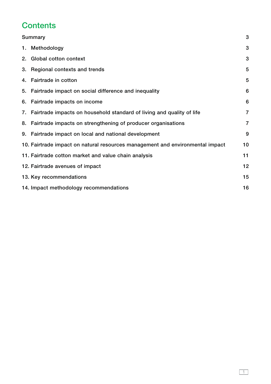## **Contents**

| Summary                                                                       |    |
|-------------------------------------------------------------------------------|----|
| 1. Methodology                                                                | 3  |
| 2. Global cotton context                                                      | 3  |
| 3. Regional contexts and trends                                               | 5  |
| 4. Fairtrade in cotton                                                        | 5  |
| 5. Fairtrade impact on social difference and inequality                       | 6  |
| 6. Fairtrade impacts on income                                                | 6  |
| 7. Fairtrade impacts on household standard of living and quality of life      | 7  |
| 8. Fairtrade impacts on strengthening of producer organisations               | 7  |
| 9. Fairtrade impact on local and national development                         | 9  |
| 10. Fairtrade impact on natural resources management and environmental impact | 10 |
| 11. Fairtrade cotton market and value chain analysis                          | 11 |
| 12. Fairtrade avenues of impact                                               | 12 |
| 13. Key recommendations                                                       | 15 |
| 14. Impact methodology recommendations                                        | 16 |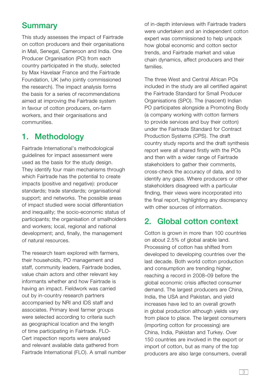#### **Summary**

This study assesses the impact of Fairtrade on cotton producers and their organisations in Mali, Senegal, Cameroon and India. One Producer Organisation (PO) from each country participated in the study, selected by Max Havelaar France and the Fairtrade Foundation, UK (who jointly commissioned the research). The impact analysis forms the basis for a series of recommendations aimed at improving the Fairtrade system in favour of cotton producers, on-farm workers, and their organisations and communities.

#### **1. Methodology**

Fairtrade International's methodological guidelines for impact assessment were used as the basis for the study design. They identify four main mechanisms through which Fairtrade has the potential to create impacts (positive and negative): producer standards; trade standards; organisational support; and networks. The possible areas of impact studied were social differentiation and inequality; the socio-economic status of participants; the organisation of smallholders and workers; local, regional and national development; and, finally, the management of natural resources.

The research team explored with farmers, their households, PO management and staff, community leaders, Fairtrade bodies, value chain actors and other relevant key informants whether and how Fairtrade is having an impact. Fieldwork was carried out by in-country research partners accompanied by NRI and IDS staff and associates. Primary level farmer groups were selected according to criteria such as geographical location and the length of time participating in Fairtrade. FLO-Cert inspection reports were analysed and relevant available data gathered from Fairtrade International (FLO). A small number of in-depth interviews with Fairtrade traders were undertaken and an independent cotton expert was commissioned to help unpack how global economic and cotton sector trends, and Fairtrade market and value chain dynamics, affect producers and their families.

The three West and Central African POs included in the study are all certified against the Fairtrade Standard for Small Producer Organisations (SPO). The (nascent) Indian PO participates alongside a Promoting Body (a company working with cotton farmers to provide services and buy their cotton) under the Fairtrade Standard for Contract Production Systems (CPS). The draft country study reports and the draft synthesis report were all shared firstly with the POs and then with a wider range of Fairtrade stakeholders to gather their comments, cross-check the accuracy of data, and to identify any gaps. Where producers or other stakeholders disagreed with a particular finding, their views were incorporated into the final report, highlighting any discrepancy with other sources of information.

#### **2. Global cotton context**

Cotton is grown in more than 100 countries on about 2.5% of global arable land. Processing of cotton has shifted from developed to developing countries over the last decade. Both world cotton production and consumption are trending higher, reaching a record in 2008–09 before the global economic crisis affected consumer demand. The largest producers are China, India, the USA and Pakistan, and yield increases have led to an overall growth in global production although yields vary from place to place. The largest consumers (importing cotton for processing) are China, India, Pakistan and Turkey. Over 150 countries are involved in the export or import of cotton, but as many of the top producers are also large consumers, overall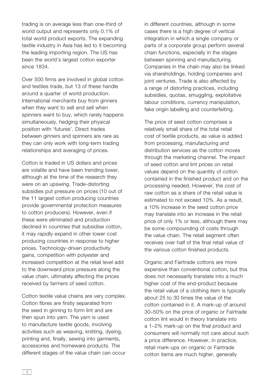trading is on average less than one-third of world output and represents only 0.1% of total world product exports. The expanding textile industry in Asia has led to it becoming the leading importing region. The US has been the world's largest cotton exporter since 1834.

Over 500 firms are involved in global cotton and textiles trade, but 13 of these handle around a quarter of world production. International merchants buy from ginners when they want to sell and sell when spinners want to buy, which rarely happens simultaneously, hedging their physical position with 'futures'. Direct trades between ginners and spinners are rare as they can only work with long-term trading relationships and averaging of prices.

Cotton is traded in US dollars and prices are volatile and have been trending lower, although at the time of the research they were on an upswing. Trade-distorting subsidies put pressure on prices (10 out of the 11 largest cotton producing countries provide governmental protection measures to cotton producers). However, even if these were eliminated and production declined in countries that subsidise cotton, it may rapidly expand in other lower cost producing countries in response to higher prices. Technology-driven productivity gains, competition with polyester and increased competition at the retail level add to the downward price pressure along the value chain, ultimately affecting the prices received by farmers of seed cotton.

Cotton textile value chains are very complex. Cotton fibres are firstly separated from the seed in ginning to form lint and are then spun into yarn. The yarn is used to manufacture textile goods, involving activities such as weaving, knitting, dyeing, printing and, finally, sewing into garments, accessories and homeware products. The different stages of the value chain can occur

in different countries, although in some cases there is a high degree of vertical integration in which a single company or parts of a corporate group perform several chain functions, especially in the stages between spinning and manufacturing. Companies in the chain may also be linked via shareholdings, holding companies and joint ventures. Trade is also affected by a range of distorting practices, including subsidies, quotas, smuggling, exploitative labour conditions, currency manipulation, fake origin labelling and counterfeiting.

The price of seed cotton comprises a relatively small share of the total retail cost of textile products, as value is added from processing, manufacturing and distribution services as the cotton moves through the marketing channel. The impact of seed cotton and lint prices on retail values depend on the quantity of cotton contained in the finished product and on the processing needed. However, the cost of raw cotton as a share of the retail value is estimated to not exceed 10%. As a result, a 10% increase in the seed cotton price may translate into an increase in the retail price of only 1% or less, although there may be some compounding of costs through the value chain. The retail segment often receives over half of the final retail value of the various cotton finished products.

Organic and Fairtrade cottons are more expensive than conventional cotton, but this does not necessarily translate into a much higher cost of the end-product because the retail value of a clothing item is typically about 25 to 30 times the value of the cotton contained in it. A mark-up of around 30–50% on the price of organic or Fairtrade cotton lint would in theory translate into a 1–2% mark-up on the final product and consumers will normally not care about such a price difference. However, in practice, retail mark-ups on organic or Fairtrade cotton items are much higher, generally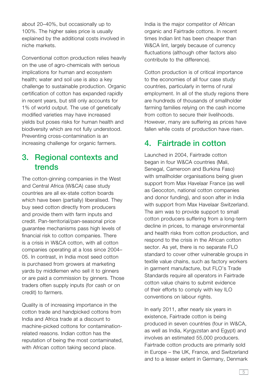about 20–40%, but occasionally up to 100%. The higher sales price is usually explained by the additional costs involved in niche markets.

Conventional cotton production relies heavily on the use of agro-chemicals with serious implications for human and ecosystem health; water and soil use is also a key challenge to sustainable production. Organic certification of cotton has expanded rapidly in recent years, but still only accounts for 1% of world output. The use of genetically modified varieties may have increased yields but poses risks for human health and biodiversity which are not fully understood. Preventing cross-contamination is an increasing challenge for organic farmers.

#### **3. Regional contexts and trends**

The cotton-ginning companies in the West and Central Africa (W&CA) case study countries are all ex-state cotton boards which have been (partially) liberalised. They buy seed cotton directly from producers and provide them with farm inputs and credit. Pan-territorial/pan-seasonal price guarantee mechanisms pass high levels of financial risk to cotton companies. There is a crisis in W&CA cotton, with all cotton companies operating at a loss since 2004– 05. In contrast, in India most seed cotton is purchased from growers at marketing yards by middlemen who sell it to ginners or are paid a commission by ginners. Those traders often supply inputs (for cash or on credit) to farmers.

Quality is of increasing importance in the cotton trade and handpicked cottons from India and Africa trade at a discount to machine-picked cottons for contaminationrelated reasons. Indian cotton has the reputation of being the most contaminated, with African cotton taking second place.

India is the major competitor of African organic and Fairtrade cottons. In recent times Indian lint has been cheaper than W&CA lint, largely because of currency fluctuations (although other factors also contribute to the difference).

Cotton production is of critical importance to the economies of all four case study countries, particularly in terms of rural employment. In all of the study regions there are hundreds of thousands of smallholder farming families relying on the cash income from cotton to secure their livelihoods. However, many are suffering as prices have fallen while costs of production have risen.

## **4. Fairtrade in cotton**

Launched in 2004, Fairtrade cotton began in four W&CA countries (Mali, Senegal, Cameroon and Burkina Faso) with smallholder organisations being given support from Max Havelaar France (as well as Geocoton, national cotton companies and donor funding), and soon after in India with support from Max Havelaar Switzerland. The aim was to provide support to small cotton producers suffering from a long-term decline in prices, to manage environmental and health risks from cotton production, and respond to the crisis in the African cotton sector. As yet, there is no separate FLO standard to cover other vulnerable groups in textile value chains, such as factory workers in garment manufacture, but FLO's Trade Standards require all operators in Fairtrade cotton value chains to submit evidence of their efforts to comply with key ILO conventions on labour rights.

In early 2011, after nearly six years in existence, Fairtrade cotton is being produced in seven countries (four in W&CA, as well as India, Kyrgyzstan and Egypt) and involves an estimated 55,000 producers. Fairtrade cotton products are primarily sold in Europe – the UK, France, and Switzerland and to a lesser extent in Germany, Denmark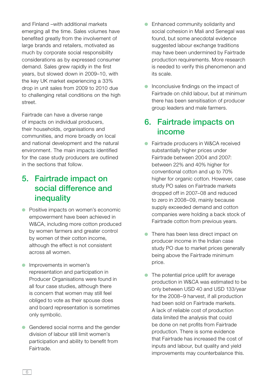and Finland –with additional markets emerging all the time. Sales volumes have benefited greatly from the involvement of large brands and retailers, motivated as much by corporate social responsibility considerations as by expressed consumer demand. Sales grew rapidly in the first years, but slowed down in 2009–10, with the key UK market experiencing a 33% drop in unit sales from 2009 to 2010 due to challenging retail conditions on the high street.

Fairtrade can have a diverse range of impacts on individual producers, their households, organisations and communities, and more broadly on local and national development and the natural environment. The main impacts identified for the case study producers are outlined in the sections that follow.

## **5. Fairtrade impact on social difference and inequality**

- Positive impacts on women's economic empowerment have been achieved in W&CA, including more cotton produced by women farmers and greater control by women of their cotton income, although the effect is not consistent across all women.
- Improvements in women's representation and participation in Producer Organisations were found in all four case studies, although there is concern that women may still feel obliged to vote as their spouse does and board representation is sometimes only symbolic.
- Gendered social norms and the gender division of labour still limit women's participation and ability to benefit from Fairtrade.
- Enhanced community solidarity and social cohesion in Mali and Senegal was found, but some anecdotal evidence suggested labour exchange traditions may have been undermined by Fairtrade production requirements. More research is needed to verify this phenomenon and its scale.
- Inconclusive findings on the impact of Fairtrade on child labour, but at minimum there has been sensitisation of producer group leaders and male farmers.

## **6. Fairtrade impacts on income**

- Fairtrade producers in W&CA received substantially higher prices under Fairtrade between 2004 and 2007: between 22% and 40% higher for conventional cotton and up to 70% higher for organic cotton. However, case study PO sales on Fairtrade markets dropped off in 2007–08 and reduced to zero in 2008–09, mainly because supply exceeded demand and cotton companies were holding a back stock of Fairtrade cotton from previous years.
- There has been less direct impact on producer income in the Indian case study PO due to market prices generally being above the Fairtrade minimum price.
- The potential price uplift for average production in W&CA was estimated to be only between USD 40 and USD 133/year for the 2008–9 harvest, if all production had been sold on Fairtrade markets. A lack of reliable cost of production data limited the analysis that could be done on net profits from Fairtrade production. There is some evidence that Fairtrade has increased the cost of inputs and labour, but quality and yield improvements may counterbalance this.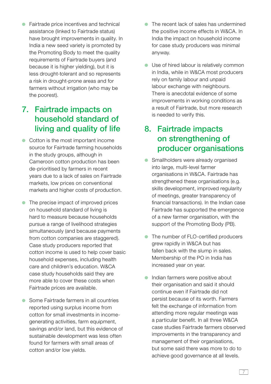● Fairtrade price incentives and technical assistance (linked to Fairtrade status) have brought improvements in quality. In India a new seed variety is promoted by the Promoting Body to meet the quality requirements of Fairtrade buyers (and because it is higher yielding), but it is less drought-tolerant and so represents a risk in drought-prone areas and for farmers without irrigation (who may be the poorest).

## **7. Fairtrade impacts on household standard of living and quality of life**

- Cotton is the most important income source for Fairtrade farming households in the study groups, although in Cameroon cotton production has been de-prioritised by farmers in recent years due to a lack of sales on Fairtrade markets, low prices on conventional markets and higher costs of production.
- The precise impact of improved prices on household standard of living is hard to measure because households pursue a range of livelihood strategies simultaneously (and because payments from cotton companies are staggered). Case study producers reported that cotton income is used to help cover basic household expenses, including health care and children's education. W&CA case study households said they are more able to cover these costs when Fairtrade prices are available.
- Some Fairtrade farmers in all countries reported using surplus income from cotton for small investments in incomegenerating activities, farm equipment, savings and/or land, but this evidence of sustainable development was less often found for farmers with small areas of cotton and/or low yields.
- The recent lack of sales has undermined the positive income effects in W&CA. In India the impact on household income for case study producers was minimal anyway.
- Use of hired labour is relatively common in India, while in W&CA most producers rely on family labour and unpaid labour exchange with neighbours. There is anecdotal evidence of some improvements in working conditions as a result of Fairtrade, but more research is needed to verify this.

## **8. Fairtrade impacts on strengthening of producer organisations**

- Smallholders were already organised into large, multi-level farmer organisations in W&CA. Fairtrade has strengthened these organisations (e.g. skills development, improved regularity of meetings, greater transparency of financial transactions). In the Indian case Fairtrade has supported the emergence of a new farmer organisation, with the support of the Promoting Body (PB).
- The number of FLO-certified producers grew rapidly in W&CA but has fallen back with the slump in sales. Membership of the PO in India has increased year on year.
- Indian farmers were positive about their organisation and said it should continue even if Fairtrade did not persist because of its worth. Farmers felt the exchange of information from attending more regular meetings was a particular benefit. In all three W&CA case studies Fairtrade farmers observed improvements in the transparency and management of their organisations. but some said there was more to do to achieve good governance at all levels.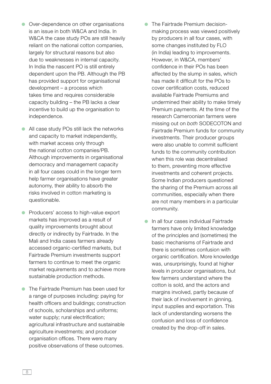- Over-dependence on other organisations is an issue in both W&CA and India. In W&CA the case study POs are still heavily reliant on the national cotton companies, largely for structural reasons but also due to weaknesses in internal capacity. In India the nascent PO is still entirely dependent upon the PB. Although the PB has provided support for organisational development – a process which takes time and requires considerable capacity building – the PB lacks a clear incentive to build up the organisation to independence.
- All case study POs still lack the networks and capacity to market independently, with market access only through the national cotton companies/PB. Although improvements in organisational democracy and management capacity in all four cases could in the longer term help farmer organisations have greater autonomy, their ability to absorb the risks involved in cotton marketing is questionable.
- Producers' access to high-value export markets has improved as a result of quality improvements brought about directly or indirectly by Fairtrade. In the Mali and India cases farmers already accessed organic-certified markets, but Fairtrade Premium investments support farmers to continue to meet the organic market requirements and to achieve more sustainable production methods.
- The Fairtrade Premium has been used for a range of purposes including: paying for health officers and buildings; construction of schools, scholarships and uniforms; water supply; rural electrification; agricultural infrastructure and sustainable agriculture investments; and producer organisation offices. There were many positive observations of these outcomes.
- The Fairtrade Premium decisionmaking process was viewed positively by producers in all four cases, with some changes instituted by FLO (in India) leading to improvements. However, in W&CA, members' confidence in their POs has been affected by the slump in sales, which has made it difficult for the POs to cover certification costs, reduced available Fairtrade Premiums and undermined their ability to make timely Premium payments. At the time of the research Cameroonian farmers were missing out on *both* SODECOTON and Fairtrade Premium funds for community investments. Their producer groups were also unable to commit sufficient funds to the community contribution when this role was decentralised to them, preventing more effective investments and coherent projects. Some Indian producers questioned the sharing of the Premium across all communities, especially when there are not many members in a particular community.
- In all four cases individual Fairtrade farmers have only limited knowledge of the principles and (sometimes) the basic mechanisms of Fairtrade and there is sometimes confusion with organic certification. More knowledge was, unsurprisingly, found at higher levels in producer organisations, but few farmers understand where the cotton is sold, and the actors and margins involved, partly because of their lack of involvement in ginning. input supplies and exportation. This lack of understanding worsens the confusion and loss of confidence created by the drop-off in sales.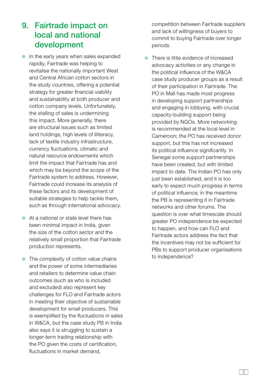#### **9. Fairtrade impact on local and national development**

- In the early years when sales expanded rapidly, Fairtrade was helping to revitalise the nationally important West and Central African cotton sectors in the study countries, offering a potential strategy for greater financial viability and sustainability at both producer and cotton company levels. Unfortunately, the stalling of sales is undermining this impact. More generally, there are structural issues such as limited land holdings, high levels of illiteracy, lack of textile industry infrastructure, currency fluctuations, climatic and natural resource endowments which limit the impact that Fairtrade has and which may be beyond the scope of the Fairtrade system to address. However, Fairtrade could increase its analysis of these factors and its development of suitable strategies to help tackle them, such as through international advocacy.
- At a national or state level there has been minimal impact in India, given the size of the cotton sector and the relatively small proportion that Fairtrade production represents.
- The complexity of cotton value chains and the power of some intermediaries and retailers to determine value chain outcomes (such as who is included and excluded) also represent key challenges for FLO and Fairtrade actors in meeting their objective of sustainable development for small producers. This is exemplified by the fluctuations in sales in W&CA, but the case study PB in India also says it is struggling to sustain a longer-term trading relationship with the PO given the costs of certification. fluctuations in market demand,

competition between Fairtrade suppliers and lack of willingness of buyers to commit to buying Fairtrade over longer periods.

● There is little evidence of increased advocacy activities or any change in the political influence of the W&CA case study producer groups as a result of their participation in Fairtrade. The PO in Mali has made most progress in developing support partnerships and engaging in lobbying, with crucial capacity-building support being provided by NGOs. More networking is recommended at the local level in Cameroon; the PO has received donor support, but this has not increased its political influence significantly. In Senegal some support partnerships have been created, but with limited impact to date. The Indian PO has only just been established, and it is too early to expect much progress in terms of political influence; in the meantime the PB is representing it in Fairtrade networks and other forums. The question is over what timescale should greater PO independence be expected to happen, and how can FLO and Fairtrade actors address the fact that the incentives may not be sufficient for PBs to support producer organisations to independence?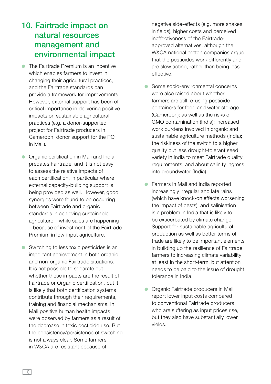#### **10. Fairtrade impact on natural resources management and environmental impact**

- The Fairtrade Premium is an incentive which enables farmers to invest in changing their agricultural practices, and the Fairtrade standards can provide a framework for improvements. However, external support has been of critical importance in delivering positive impacts on sustainable agricultural practices (e.g. a donor-supported project for Fairtrade producers in Cameroon, donor support for the PO in Mali).
- Organic certification in Mali and India predates Fairtrade, and it is not easy to assess the relative impacts of each certification, in particular where external capacity-building support is being provided as well. However, good synergies were found to be occurring between Fairtrade and organic standards in achieving sustainable agriculture – while sales are happening – because of investment of the Fairtrade Premium in low-input agriculture.
- Switching to less toxic pesticides is an important achievement in both organic and non-organic Fairtrade situations. It is not possible to separate out whether these impacts are the result of Fairtrade or Organic certification, but it is likely that both certification systems contribute through their requirements, training and financial mechanisms. In Mali positive human health impacts were observed by farmers as a result of the decrease in toxic pesticide use. But the consistency/persistence of switching is not always clear. Some farmers in W&CA are resistant because of

negative side-effects (e.g. more snakes in fields), higher costs and perceived ineffectiveness of the Fairtradeapproved alternatives, although the W&CA national cotton companies arque that the pesticides work differently and are slow acting, rather than being less effective.

- Some socio-environmental concerns were also raised about whether farmers are still re-using pesticide containers for food and water storage (Cameroon); as well as the risks of GMO contamination (India); increased work burdens involved in organic and sustainable agriculture methods (India); the riskiness of the switch to a higher quality but less drought-tolerant seed variety in India to meet Fairtrade quality requirements; and about salinity ingress into groundwater (India).
- Farmers in Mali and India reported increasingly irregular and late rains (which have knock-on effects worsening the impact of pests), and salinisation is a problem in India that is likely to be exacerbated by climate change. Support for sustainable agricultural production as well as better terms of trade are likely to be important elements in building up the resilience of Fairtrade farmers to increasing climate variability at least in the short-term, but attention needs to be paid to the issue of drought tolerance in India.
- Organic Fairtrade producers in Mali report lower input costs compared to conventional Fairtrade producers, who are suffering as input prices rise. but they also have substantially lower yields.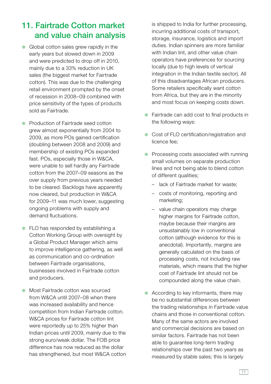## **11. Fairtrade Cotton market and value chain analysis**

- Global cotton sales grew rapidly in the early years but slowed down in 2009 and were predicted to drop off in 2010, mainly due to a 33% reduction in UK sales (the biggest market for Fairtrade cotton). This was due to the challenging retail environment prompted by the onset of recession in 2008–09 combined with price sensitivity of the types of products sold as Fairtrade.
- Production of Fairtrade seed cotton grew almost exponentially from 2004 to 2009, as more POs gained certification (doubling between 2008 and 2009) and membership of existing POs expanded fast. POs, especially those in W&CA, were unable to sell hardly any Fairtrade cotton from the 2007–09 seasons as the over supply from previous years needed to be cleared. Backlogs have apparently now cleared, but production in W&CA for 2009–11 was much lower, suggesting ongoing problems with supply and demand fluctuations.
- FLO has responded by establishing a Cotton Working Group with oversight by a Global Product Manager which aims to improve intelligence gathering, as well as communication and co-ordination between Fairtrade organisations. businesses involved in Fairtrade cotton and producers.
- Most Fairtrade cotton was sourced from W&CA until 2007–08 when there was increased availability and hence competition from Indian Fairtrade cotton. W&CA prices for Fairtrade cotton lint were reportedly up to 25% higher than Indian prices until 2009, mainly due to the strong euro/weak dollar. The FOB price difference has now reduced as the dollar has strengthened, but most W&CA cotton

is shipped to India for further processing, incurring additional costs of transport, storage, insurance, logistics and import duties. Indian spinners are more familiar with Indian lint, and other value chain operators have preferences for sourcing locally (due to high levels of vertical integration in the Indian textile sector). All of this disadvantages African producers. Some retailers specifically want cotton from Africa, but they are in the minority and most focus on keeping costs down.

- Fairtrade can add cost to final products in the following ways:
- Cost of FLO certification/registration and licence fee;
- Processing costs associated with running small volumes on separate production lines and not being able to blend cotton of different qualities;
	- lack of Fairtrade market for waste;
	- costs of monitoring, reporting and marketing;
	- value chain operators may charge higher margins for Fairtrade cotton. maybe because their margins are unsustainably low in conventional cotton (although evidence for this is anecdotal). Importantly, margins are generally calculated on the basis of processing costs, not including raw materials, which means that the higher cost of Fairtrade lint should not be compounded along the value chain.
- According to key informants, there may be no substantial differences between the trading relationships in Fairtrade value chains and those in conventional cotton. Many of the same actors are involved and commercial decisions are based on similar factors. Fairtrade has not been able to guarantee long-term trading relationships over the past two years as measured by stable sales; this is largely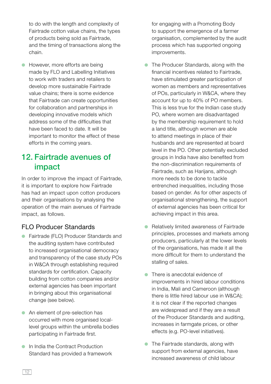to do with the length and complexity of Fairtrade cotton value chains, the types of products being sold as Fairtrade, and the timing of transactions along the chain.

● However, more efforts are being made by FLO and Labelling Initiatives to work with traders and retailers to develop more sustainable Fairtrade value chains; there is some evidence that Fairtrade can create opportunities for collaboration and partnerships in developing innovative models which address some of the difficulties that have been faced to date. It will be important to monitor the effect of these efforts in the coming years.

#### **12. Fairtrade avenues of impact**

In order to improve the impact of Fairtrade, it is important to explore how Fairtrade has had an impact upon cotton producers and their organisations by analysing the operation of the main avenues of Fairtrade impact, as follows.

#### FLO Producer Standards

- Fairtrade (FLO) Producer Standards and the auditing system have contributed to increased organisational democracy and transparency of the case study POs in W&CA through establishing required standards for certification. Capacity building from cotton companies and/or external agencies has been important in bringing about this organisational change (see below).
- An element of pre-selection has occurred with more organised locallevel groups within the umbrella bodies participating in Fairtrade first.
- In India the Contract Production Standard has provided a framework

for engaging with a Promoting Body to support the emergence of a farmer organisation, complemented by the audit process which has supported ongoing improvements.

- The Producer Standards, along with the financial incentives related to Fairtrade, have stimulated greater participation of women as members and representatives of POs, particularly in W&CA, where they account for up to 40% of PO members. This is less true for the Indian case study PO, where women are disadvantaged by the membership requirement to hold a land title, although women are able to attend meetings in place of their husbands and are represented at board level in the PO. Other potentially excluded groups in India have also benefited from the non-discrimination requirements of Fairtrade, such as Harijans, although more needs to be done to tackle entrenched inequalities, including those based on gender. As for other aspects of organisational strengthening, the support of external agencies has been critical for achieving impact in this area.
- Relatively limited awareness of Fairtrade principles, processes and markets among producers, particularly at the lower levels of the organisations, has made it all the more difficult for them to understand the stalling of sales.
- There is anecdotal evidence of improvements in hired labour conditions in India, Mali and Cameroon (although there is little hired labour use in W&CA); it is not clear if the reported changes are widespread and if they are a result of the Producer Standards and auditing, increases in farmgate prices, or other effects (e.g. PO-level initiatives).
- The Fairtrade standards, along with support from external agencies, have increased awareness of child labour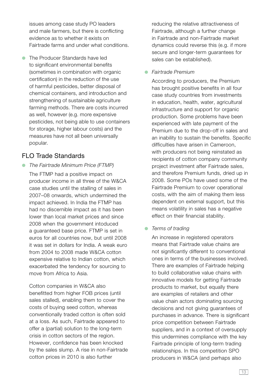issues among case study PO leaders and male farmers, but there is conflicting evidence as to whether it exists on Fairtrade farms and under what conditions.

● The Producer Standards have led to significant environmental benefits (sometimes in combination with organic certification) in the reduction of the use of harmful pesticides, better disposal of chemical containers, and introduction and strengthening of sustainable agriculture farming methods. There are costs incurred as well, however (e.g. more expensive pesticides, not being able to use containers for storage, higher labour costs) and the measures have not all been universally popular.

#### FLO Trade Standards

● *The Fairtrade Minimum Price (FTMP)*

 The FTMP had a positive impact on producer income in all three of the W&CA case studies until the stalling of sales in 2007–08 onwards, which undermined the impact achieved. In India the FTMP has had no discernible impact as it has been lower than local market prices and since 2008 when the government intoduced a guaranteed base price. FTMP is set in euros for all countries now, but until 2008 it was set in dollars for India. A weak euro from 2004 to 2008 made W&CA cotton expensive relative to Indian cotton, which exacerbated the tendency for sourcing to move from Africa to Asia.

 Cotton companies in W&CA also benefitted from higher FOB prices (until sales stalled), enabling them to cover the costs of buying seed cotton, whereas conventionally traded cotton is often sold at a loss. As such, Fairtrade appeared to offer a (partial) solution to the long-term crisis in cotton sectors of the region. However, confidence has been knocked by the sales slump. A rise in non-Fairtrade cotton prices in 2010 is also further

reducing the relative attractiveness of Fairtrade, although a further change in Fairtrade and non-Fairtrade market dynamics could reverse this (e.g. if more secure and longer-term guarantees for sales can be established).

● *Fairtrade Premium* 

 According to producers, the Premium has brought positive benefits in all four case study countries from investments in education, health, water, agricultural infrastructure and support for organic production. Some problems have been experienced with late payment of the Premium due to the drop-off in sales and an inability to sustain the benefits. Specific difficulties have arisen in Cameroon. with producers not being reinstated as recipients of cotton company community project investment after Fairtrade sales, and therefore Premium funds, dried up in 2008. Some POs have used some of the Fairtrade Premium to cover operational costs, with the aim of making them less dependent on external support, but this means volatility in sales has a negative effect on their financial stability.

#### ● *Terms of trading*

An increase in registered operators means that Fairtrade value chains are not significantly different to conventional ones in terms of the businesses involved. There are examples of Fairtrade helping to build collaborative value chains with innovative models for getting Fairtrade products to market, but equally there are examples of retailers and other value chain actors dominating sourcing decisions and not giving guarantees of purchases in advance. There is significant price competition between Fairtrade suppliers, and in a context of oversupply this undermines compliance with the key Fairtrade principle of long-term trading relationships. In this competition SPO producers in W&CA (and perhaps also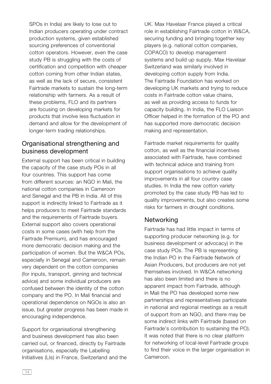SPOs in India) are likely to lose out to Indian producers operating under contract production systems, given established sourcing preferences of conventional cotton operators. However, even the case study PB is struggling with the costs of certification and competition with cheaper cotton coming from other Indian states, as well as the lack of secure, consistent Fairtrade markets to sustain the long-term relationship with farmers. As a result of these problems, FLO and its partners are focusing on developing markets for products that involve less fluctuation in demand and allow for the development of longer-term trading relationships.

#### Organisational strengthening and business development

External support has been critical in building the capacity of the case study POs in all four countries. This support has come from different sources: an NGO in Mali, the national cotton companies in Cameroon and Senegal and the PB in India. All of this support is indirectly linked to Fairtrade as it helps producers to meet Fairtrade standards and the requirements of Fairtrade buyers. External support also covers operational costs in some cases (with help from the Fairtrade Premium), and has encouraged more democratic decision making and the participation of women. But the W&CA POs, especially in Senegal and Cameroon, remain very dependent on the cotton companies (for inputs, transport, ginning and technical advice) and some individual producers are confused between the identity of the cotton company and the PO. In Mali financial and operational dependence on NGOs is also an issue, but greater progress has been made in encouraging independence.

Support for organisational strengthening and business development has also been carried out, or financed, directly by Fairtrade organisations, especially the Labelling Initiatives (LIs) in France, Switzerland and the UK. Max Havelaar France played a critical role in establishing Fairtrade cotton in W&CA, securing funding and bringing together key players (e.g. national cotton companies, COPACO) to develop management systems and build up supply. Max Havelaar Switzerland was similarly involved in developing cotton supply from India. The Fairtrade Foundation has worked on developing UK markets and trying to reduce costs in Fairtrade cotton value chains, as well as providing access to funds for capacity building. In India, the FLO Liaison Officer helped in the formation of the PO and has supported more democratic decision making and representation.

Fairtrade market requirements for quality cotton, as well as the financial incentives associated with Fairtrade, have combined with technical advice and training from support organisations to achieve quality improvements in all four country case studies. In India the new cotton variety promoted by the case study PB has led to quality improvements, but also creates some risks for farmers in drought conditions.

#### **Networking**

Fairtrade has had little impact in terms of supporting producer networking (e.g. for business development or advocacy) in the case study POs. The PB is representing the Indian PO in the Fairtrade Network of Asian Producers, but producers are not yet themselves involved. In W&CA networking has also been limited and there is no apparent impact from Fairtrade, although in Mali the PO has developed some new partnerships and representatives participate in national and regional meetings as a result of support from an NGO, and there may be some indirect links with Fairtrade (based on Fairtrade's contribution to sustaining the PO). It was noted that there is no clear platform for networking of local-level Fairtrade groups to find their voice in the larger organisation in Cameroon.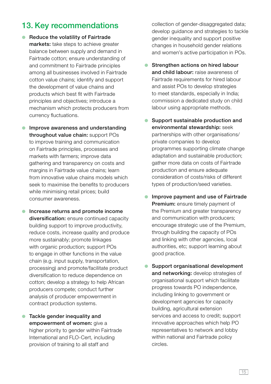## **13. Key recommendations**

- **Reduce the volatility of Fairtrade markets:** take steps to achieve greater balance between supply and demand in Fairtrade cotton; ensure understanding of and commitment to Fairtrade principles among all businesses involved in Fairtrade cotton value chains; identify and support the development of value chains and products which best fit with Fairtrade principles and objectives; introduce a mechanism which protects producers from currency fluctuations.
- **Improve awareness and understanding throughout value chain:** support POs to improve training and communication on Fairtrade principles, processes and markets with farmers; improve data gathering and transparency on costs and margins in Fairtrade value chains; learn from innovative value chains models which seek to maximise the benefits to producers while minimising retail prices; build consumer awareness.
- **Increase returns and promote income diversification:** ensure continued capacity building support to improve productivity, reduce costs, increase quality and produce more sustainably; promote linkages with organic production; support POs to engage in other functions in the value chain (e.g. input supply, transportation, processing) and promote/facilitate product diversification to reduce dependence on cotton; develop a strategy to help African producers compete; conduct further analysis of producer empowerment in contract production systems.
- **Tackle gender inequality and empowerment of women:** give a higher priority to gender within Fairtrade International and FLO-Cert, including provision of training to all staff and

collection of gender-disaggregated data; develop guidance and strategies to tackle gender inequality and support positive changes in household gender relations and women's active participation in POs.

- **Strengthen actions on hired labour and child labour:** raise awareness of Fairtrade requirements for hired labour and assist POs to develop strategies to meet standards, especially in India; commission a dedicated study on child labour using appropriate methods.
- **Support sustainable production and environmental stewardship:** seek partnerships with other organisations/ private companies to develop programmes supporting climate change adaptation and sustainable production; gather more data on costs of Fairtrade production and ensure adequate consideration of costs/risks of different types of production/seed varieties.
- **Improve payment and use of Fairtrade Premium:** ensure timely payment of the Premium and greater transparency and communication with producers; encourage strategic use of the Premium, through building the capacity of POs and linking with other agencies, local authorities, etc; support learning about good practice.
- **Support organisational development and networking:** develop strategies of organisational support which facilitate progress towards PO independence, including linking to government or development agencies for capacity building, agricultural extension services and access to credit; support innovative approaches which help PO representatives to network and lobby within national and Fairtrade policy circles.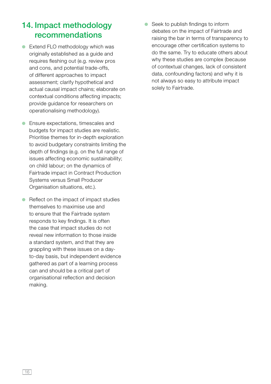## **14. Impact methodology recommendations**

● Extend FLO methodology which was originally established as a guide and requires fleshing out (e.g. review pros and cons, and potential trade-offs, of different approaches to impact assessment; clarify hypothetical and actual causal impact chains; elaborate on contextual conditions affecting impacts; provide guidance for researchers on operationalising methodology).

● Ensure expectations, timescales and budgets for impact studies are realistic. Prioritise themes for in-depth exploration to avoid budgetary constraints limiting the depth of findings (e.g. on the full range of issues affecting economic sustainability; on child labour; on the dynamics of Fairtrade impact in Contract Production Systems versus Small Producer Organisation situations, etc.).

● Reflect on the impact of impact studies themselves to maximise use and to ensure that the Fairtrade system responds to key findings. It is often the case that impact studies do not reveal new information to those inside a standard system, and that they are grappling with these issues on a dayto-day basis, but independent evidence gathered as part of a learning process can and should be a critical part of organisational reflection and decision making.

● Seek to publish findings to inform debates on the impact of Fairtrade and raising the bar in terms of transparency to encourage other certification systems to do the same. Try to educate others about why these studies are complex (because of contextual changes, lack of consistent data, confounding factors) and why it is not always so easy to attribute impact solely to Fairtrade.